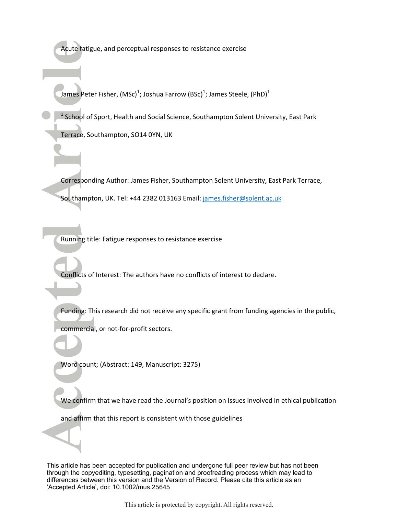Acute fatigue, and perceptual responses to resistance exercise

James Peter Fisher, (MSc)<sup>1</sup>; Joshua Farrow (BSc)<sup>1</sup>; James Steele, (PhD)<sup>1</sup>

<sup>1</sup> School of Sport, Health and Social Science, Southampton Solent University, East Park

Terrace, Southampton, SO14 0YN, UK

Corresponding Author: James Fisher, Southampton Solent University, East Park Terrace, Southampton, UK. Tel: +44 2382 013163 Email: james.fisher@solent.ac.uk

Running title: Fatigue responses to resistance exercise

Conflicts of Interest: The authors have no conflicts of interest to declare.

Funding: This research did not receive any specific grant from funding agencies in the public,

commercial, or not-for-profit sectors.

Word count; (Abstract: 149, Manuscript: 3275)

We confirm that we have read the Journal's position on issues involved in ethical publication

and affirm that this report is consistent with those guidelines

This article has been accepted for publication and undergone full peer review but has not been through the copyediting, typesetting, pagination and proofreading process which may lead to differences between this version and the Version of Record. Please cite this article as an 'Accepted Article', doi: 10.1002/mus.25645

This article is protected by copyright. All rights reserved.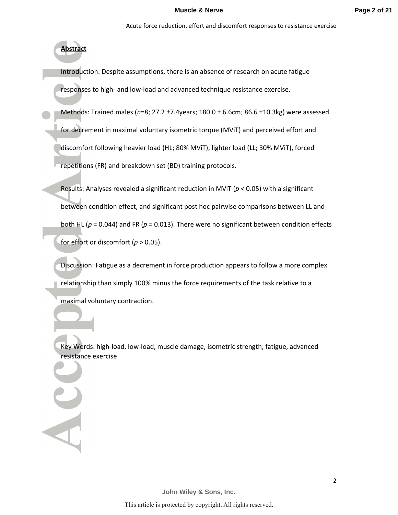# **Abstract**

Introduction: Despite assumptions, there is an absence of research on acute fatigue responses to high- and low-load and advanced technique resistance exercise.

Methods: Trained males (*n*=8; 27.2 ±7.4years; 180.0 ± 6.6cm; 86.6 ±10.3kg) were assessed for decrement in maximal voluntary isometric torque (MViT) and perceived effort and discomfort following heavier load (HL; 80% MViT), lighter load (LL; 30% MViT), forced

repetitions (FR) and breakdown set (BD) training protocols.

Results: Analyses revealed a significant reduction in MViT (*p* < 0.05) with a significant between condition effect, and significant post hoc pairwise comparisons between LL and both HL ( $p = 0.044$ ) and FR ( $p = 0.013$ ). There were no significant between condition effects for effort or discomfort ( $p > 0.05$ ).

Discussion: Fatigue as a decrement in force production appears to follow a more complex relationship than simply 100% minus the force requirements of the task relative to a maximal voluntary contraction.

Key Words: high-load, low-load, muscle damage, isometric strength, fatigue, advanced resistance exercise

**John Wiley & Sons, Inc.**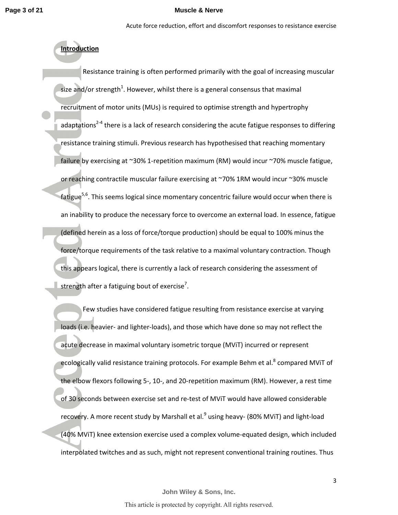Acute force reduction, effort and discomfort responses to resistance exercise

# **Introduction**

 Resistance training is often performed primarily with the goal of increasing muscular size and/or strength<sup>1</sup>. However, whilst there is a general consensus that maximal recruitment of motor units (MUs) is required to optimise strength and hypertrophy adaptations<sup>2-4</sup> there is a lack of research considering the acute fatigue responses to differing resistance training stimuli. Previous research has hypothesised that reaching momentary failure by exercising at ~30% 1-repetition maximum (RM) would incur ~70% muscle fatigue, or reaching contractile muscular failure exercising at ~70% 1RM would incur ~30% muscle fatigue<sup>5,6</sup>. This seems logical since momentary concentric failure would occur when there is an inability to produce the necessary force to overcome an external load. In essence, fatigue (defined herein as a loss of force/torque production) should be equal to 100% minus the force/torque requirements of the task relative to a maximal voluntary contraction. Though this appears logical, there is currently a lack of research considering the assessment of strength after a fatiguing bout of exercise<sup>7</sup>.

Few studies have considered fatigue resulting from resistance exercise at varying loads (i.e. heavier- and lighter-loads), and those which have done so may not reflect the acute decrease in maximal voluntary isometric torque (MViT) incurred or represent ecologically valid resistance training protocols. For example Behm et al.<sup>8</sup> compared MViT of the elbow flexors following 5-, 10-, and 20-repetition maximum (RM). However, a rest time of 30 seconds between exercise set and re-test of MViT would have allowed considerable recovery. A more recent study by Marshall et al.<sup>9</sup> using heavy- (80% MViT) and light-load (40% MViT) knee extension exercise used a complex volume-equated design, which included interpolated twitches and as such, might not represent conventional training routines. Thus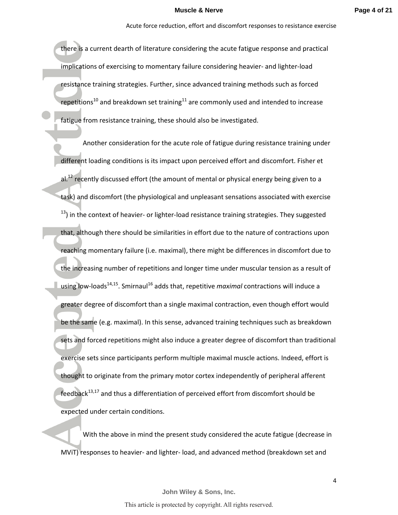there is a current dearth of literature considering the acute fatigue response and practical implications of exercising to momentary failure considering heavier- and lighter-load resistance training strategies. Further, since advanced training methods such as forced repetitions<sup>10</sup> and breakdown set training<sup>11</sup> are commonly used and intended to increase fatigue from resistance training, these should also be investigated.

Another consideration for the acute role of fatigue during resistance training under different loading conditions is its impact upon perceived effort and discomfort. Fisher et al.<sup>12</sup> recently discussed effort (the amount of mental or physical energy being given to a task) and discomfort (the physiological and unpleasant sensations associated with exercise  $13$ ) in the context of heavier- or lighter-load resistance training strategies. They suggested that, although there should be similarities in effort due to the nature of contractions upon reaching momentary failure (i.e. maximal), there might be differences in discomfort due to the increasing number of repetitions and longer time under muscular tension as a result of using low-loads<sup>14,15</sup>. Smirnaul<sup>16</sup> adds that, repetitive *maximal* contractions will induce a greater degree of discomfort than a single maximal contraction, even though effort would be the same (e.g. maximal). In this sense, advanced training techniques such as breakdown sets and forced repetitions might also induce a greater degree of discomfort than traditional exercise sets since participants perform multiple maximal muscle actions. Indeed, effort is thought to originate from the primary motor cortex independently of peripheral afferent  $feedback<sup>13,17</sup>$  and thus a differentiation of perceived effort from discomfort should be expected under certain conditions.

With the above in mind the present study considered the acute fatigue (decrease in MViT) responses to heavier- and lighter- load, and advanced method (breakdown set and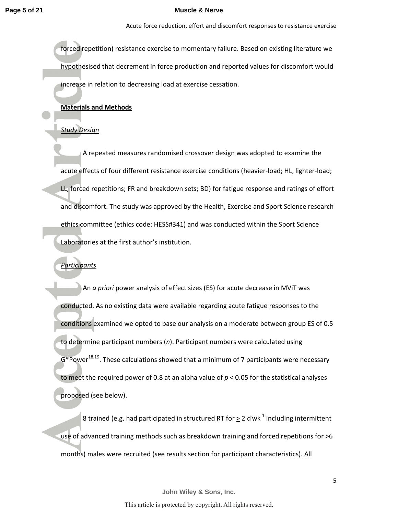Acute force reduction, effort and discomfort responses to resistance exercise

forced repetition) resistance exercise to momentary failure. Based on existing literature we hypothesised that decrement in force production and reported values for discomfort would increase in relation to decreasing load at exercise cessation.

## **Materials and Methods**

### *Study Design*

A repeated measures randomised crossover design was adopted to examine the acute effects of four different resistance exercise conditions (heavier-load; HL, lighter-load; LL, forced repetitions; FR and breakdown sets; BD) for fatigue response and ratings of effort and discomfort. The study was approved by the Health, Exercise and Sport Science research ethics committee (ethics code: HESS#341) and was conducted within the Sport Science Laboratories at the first author's institution.

## *Participants*

An *a priori* power analysis of effect sizes (ES) for acute decrease in MViT was conducted. As no existing data were available regarding acute fatigue responses to the conditions examined we opted to base our analysis on a moderate between group ES of 0.5 to determine participant numbers (*n*). Participant numbers were calculated using  $G^*$ Power<sup>18,19</sup>. These calculations showed that a minimum of 7 participants were necessary to meet the required power of 0.8 at an alpha value of *p* < 0.05 for the statistical analyses proposed (see below).

8 trained (e.g. had participated in structured RT for  $\geq 2$  d wk<sup>-1</sup> including intermittent use of advanced training methods such as breakdown training and forced repetitions for >6 months) males were recruited (see results section for participant characteristics). All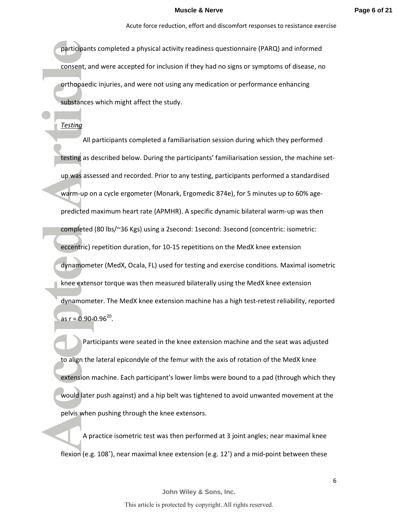participants completed a physical activity readiness questionnaire (PARQ) and informed consent, and were accepted for inclusion if they had no signs or symptoms of disease, no orthopaedic injuries, and were not using any medication or performance enhancing substances which might affect the study.

*Testing* 

 All participants completed a familiarisation session during which they performed testing as described below. During the participants' familiarisation session, the machine setup was assessed and recorded. Prior to any testing, participants performed a standardised warm-up on a cycle ergometer (Monark, Ergomedic 874e), for 5 minutes up to 60% agepredicted maximum heart rate (APMHR). A specific dynamic bilateral warm-up was then completed (80 lbs/~36 Kgs) using a 2second: 1second: 3second (concentric: isometric: eccentric) repetition duration, for 10-15 repetitions on the MedX knee extension dynamometer (MedX, Ocala, FL) used for testing and exercise conditions. Maximal isometric knee extensor torque was then measured bilaterally using the MedX knee extension dynamometer. The MedX knee extension machine has a high test-retest reliability, reported as *r* = 0.90-0.96<sup>20</sup>.

Participants were seated in the knee extension machine and the seat was adjusted to align the lateral epicondyle of the femur with the axis of rotation of the MedX knee extension machine. Each participant's lower limbs were bound to a pad (through which they would later push against) and a hip belt was tightened to avoid unwanted movement at the pelvis when pushing through the knee extensors.

 A practice isometric test was then performed at 3 joint angles; near maximal knee flexion (e.g. 108˚), near maximal knee extension (e.g. 12˚) and a mid-point between these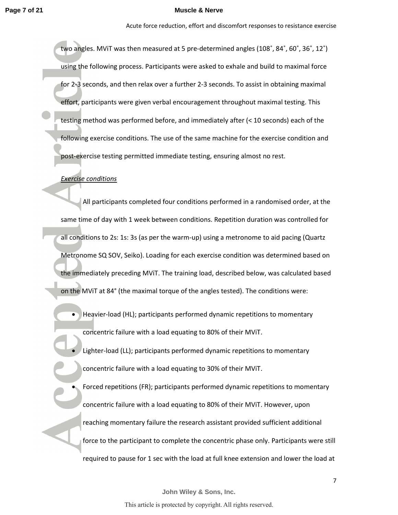Acute force reduction, effort and discomfort responses to resistance exercise

two angles. MViT was then measured at 5 pre-determined angles (108˚, 84˚, 60˚, 36˚, 12˚) using the following process. Participants were asked to exhale and build to maximal force for 2-3 seconds, and then relax over a further 2-3 seconds. To assist in obtaining maximal effort, participants were given verbal encouragement throughout maximal testing. This testing method was performed before, and immediately after (< 10 seconds) each of the following exercise conditions. The use of the same machine for the exercise condition and post-exercise testing permitted immediate testing, ensuring almost no rest.

## *Exercise conditions*

 All participants completed four conditions performed in a randomised order, at the same time of day with 1 week between conditions. Repetition duration was controlled for all conditions to 2s: 1s: 3s (as per the warm-up) using a metronome to aid pacing (Quartz Metronome SQ SOV, Seiko). Loading for each exercise condition was determined based on the immediately preceding MViT. The training load, described below, was calculated based on the MViT at 84° (the maximal torque of the angles tested). The conditions were:

• Heavier-load (HL); participants performed dynamic repetitions to momentary concentric failure with a load equating to 80% of their MViT.

Lighter-load (LL); participants performed dynamic repetitions to momentary concentric failure with a load equating to 30% of their MViT.

• Forced repetitions (FR); participants performed dynamic repetitions to momentary concentric failure with a load equating to 80% of their MViT. However, upon reaching momentary failure the research assistant provided sufficient additional force to the participant to complete the concentric phase only. Participants were still required to pause for 1 sec with the load at full knee extension and lower the load at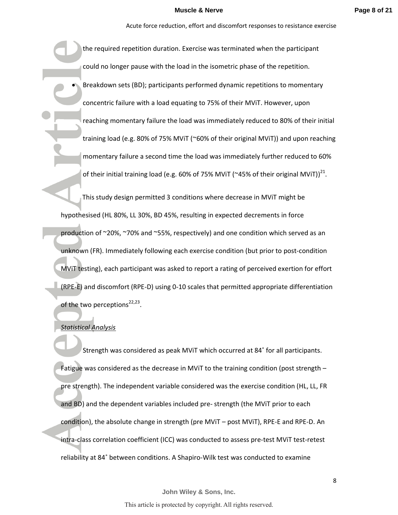the required repetition duration. Exercise was terminated when the participant could no longer pause with the load in the isometric phase of the repetition. • Breakdown sets (BD); participants performed dynamic repetitions to momentary concentric failure with a load equating to 75% of their MViT. However, upon reaching momentary failure the load was immediately reduced to 80% of their initial training load (e.g. 80% of 75% MViT (~60% of their original MViT)) and upon reaching momentary failure a second time the load was immediately further reduced to 60% of their initial training load (e.g. 60% of 75% MViT (~45% of their original MViT))<sup>21</sup>.

This study design permitted 3 conditions where decrease in MViT might be hypothesised (HL 80%, LL 30%, BD 45%, resulting in expected decrements in force production of ~20%, ~70% and ~55%, respectively) and one condition which served as an unknown (FR). Immediately following each exercise condition (but prior to post-condition MViT testing), each participant was asked to report a rating of perceived exertion for effort (RPE-E) and discomfort (RPE-D) using 0-10 scales that permitted appropriate differentiation of the two perceptions<sup>22,23</sup>.

### *Statistical Analysis*

Strength was considered as peak MViT which occurred at 84˚ for all participants. Fatigue was considered as the decrease in MViT to the training condition (post strength – pre strength). The independent variable considered was the exercise condition (HL, LL, FR and BD) and the dependent variables included pre- strength (the MViT prior to each condition), the absolute change in strength (pre MViT – post MViT), RPE-E and RPE-D. An intra-class correlation coefficient (ICC) was conducted to assess pre-test MViT test-retest reliability at 84˚ between conditions. A Shapiro-Wilk test was conducted to examine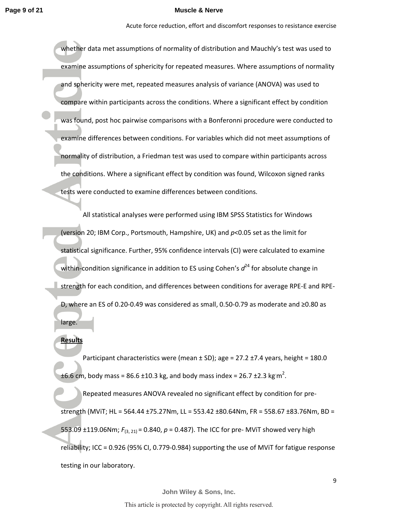Acute force reduction, effort and discomfort responses to resistance exercise

whether data met assumptions of normality of distribution and Mauchly's test was used to examine assumptions of sphericity for repeated measures. Where assumptions of normality and sphericity were met, repeated measures analysis of variance (ANOVA) was used to compare within participants across the conditions. Where a significant effect by condition was found, post hoc pairwise comparisons with a Bonferonni procedure were conducted to examine differences between conditions. For variables which did not meet assumptions of normality of distribution, a Friedman test was used to compare within participants across the conditions. Where a significant effect by condition was found, Wilcoxon signed ranks tests were conducted to examine differences between conditions.

All statistical analyses were performed using IBM SPSS Statistics for Windows (version 20; IBM Corp., Portsmouth, Hampshire, UK) and *p*<0.05 set as the limit for statistical significance. Further, 95% confidence intervals (CI) were calculated to examine within-condition significance in addition to ES using Cohen's  $d^{24}$  for absolute change in strength for each condition, and differences between conditions for average RPE-E and RPE-D, where an ES of 0.20-0.49 was considered as small, 0.50-0.79 as moderate and ≥0.80 as large.

## **Results**

Participant characteristics were (mean  $\pm$  SD); age = 27.2  $\pm$ 7.4 years, height = 180.0 ±6.6 cm, body mass = 86.6 ±10.3 kg, and body mass index = 26.7 ±2.3 kg m<sup>2</sup>.

Repeated measures ANOVA revealed no significant effect by condition for prestrength (MViT; HL = 564.44 ±75.27Nm, LL = 553.42 ±80.64Nm, FR = 558.67 ±83.76Nm, BD = 553.09  $\pm$ 119.06Nm;  $F_{(3, 21)}$  = 0.840,  $p$  = 0.487). The ICC for pre- MViT showed very high reliability; ICC = 0.926 (95% CI, 0.779-0.984) supporting the use of MViT for fatigue response testing in our laboratory.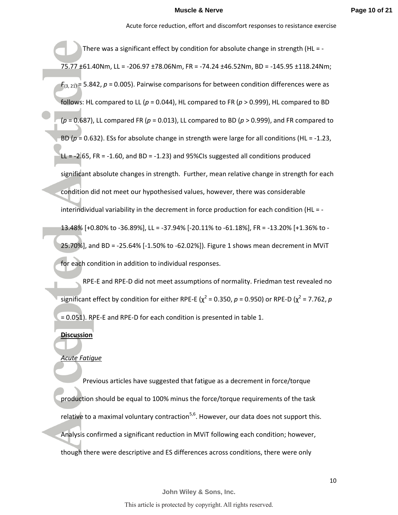Acute force reduction, effort and discomfort responses to resistance exercise

There was a significant effect by condition for absolute change in strength (HL = -75.77 ±61.40Nm, LL = -206.97 ±78.06Nm, FR = -74.24 ±46.52Nm, BD = -145.95 ±118.24Nm;  $F_{(3, 21)}$  = 5.842,  $p$  = 0.005). Pairwise comparisons for between condition differences were as follows: HL compared to LL (*p* = 0.044), HL compared to FR (*p* > 0.999), HL compared to BD (*p* = 0.687), LL compared FR (*p* = 0.013), LL compared to BD (*p* > 0.999), and FR compared to BD (*p* = 0.632). ESs for absolute change in strength were large for all conditions (HL = -1.23, LL  $= -2.65$ , FR  $= -1.60$ , and BD  $= -1.23$ ) and 95%CIs suggested all conditions produced significant absolute changes in strength. Further, mean relative change in strength for each condition did not meet our hypothesised values, however, there was considerable interindividual variability in the decrement in force production for each condition (HL = - 13.48% [+0.80% to -36.89%], LL = -37.94% [-20.11% to -61.18%], FR = -13.20% [+1.36% to - 25.70%], and BD = -25.64% [-1.50% to -62.02%]). Figure 1 shows mean decrement in MViT for each condition in addition to individual responses.

RPE-E and RPE-D did not meet assumptions of normality. Friedman test revealed no significant effect by condition for either RPE-E ( $\chi^2$  = 0.350,  $\rho$  = 0.950) or RPE-D ( $\chi^2$  = 7.762,  $\rho$ = 0.051). RPE-E and RPE-D for each condition is presented in table 1.

## **Discussion**

## *Acute Fatigue*

Previous articles have suggested that fatigue as a decrement in force/torque production should be equal to 100% minus the force/torque requirements of the task relative to a maximal voluntary contraction<sup>5,6</sup>. However, our data does not support this. Analysis confirmed a significant reduction in MViT following each condition; however, though there were descriptive and ES differences across conditions, there were only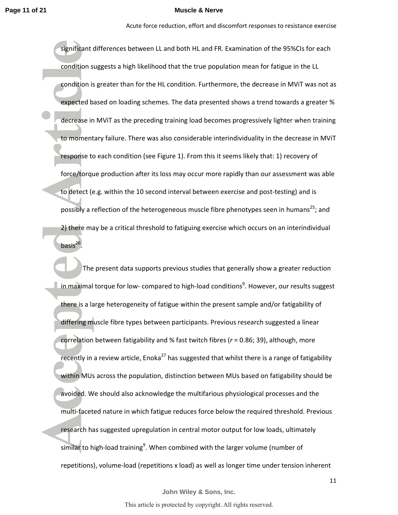Acute force reduction, effort and discomfort responses to resistance exercise

significant differences between LL and both HL and FR. Examination of the 95%CIs for each condition suggests a high likelihood that the true population mean for fatigue in the LL condition is greater than for the HL condition. Furthermore, the decrease in MViT was not as expected based on loading schemes. The data presented shows a trend towards a greater % decrease in MViT as the preceding training load becomes progressively lighter when training to momentary failure. There was also considerable interindividuality in the decrease in MViT response to each condition (see Figure 1). From this it seems likely that: 1) recovery of force/torque production after its loss may occur more rapidly than our assessment was able to detect (e.g. within the 10 second interval between exercise and post-testing) and is possibly a reflection of the heterogeneous muscle fibre phenotypes seen in humans<sup>25</sup>; and 2) there may be a critical threshold to fatiguing exercise which occurs on an interindividual basis $^{26}$ .

The present data supports previous studies that generally show a greater reduction in maximal torque for low- compared to high-load conditions<sup>9</sup>. However, our results suggest there is a large heterogeneity of fatigue within the present sample and/or fatigability of differing muscle fibre types between participants. Previous research suggested a linear correlation between fatigability and % fast twitch fibres (*r* = 0.86; 39), although, more recently in a review article, Enoka<sup>27</sup> has suggested that whilst there is a range of fatigability within MUs across the population, distinction between MUs based on fatigability should be avoided. We should also acknowledge the multifarious physiological processes and the multi-faceted nature in which fatigue reduces force below the required threshold. Previous research has suggested upregulation in central motor output for low loads, ultimately similar to high-load training<sup>9</sup>. When combined with the larger volume (number of repetitions), volume-load (repetitions x load) as well as longer time under tension inherent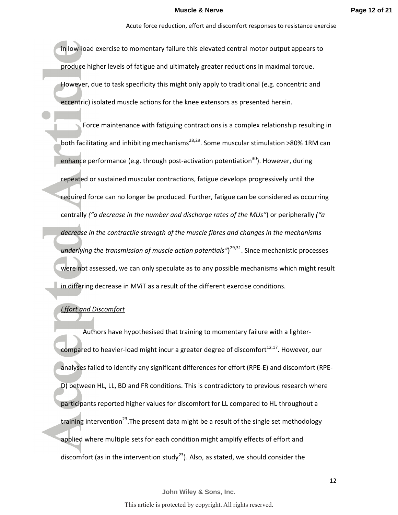in low-load exercise to momentary failure this elevated central motor output appears to produce higher levels of fatigue and ultimately greater reductions in maximal torque. However, due to task specificity this might only apply to traditional (e.g. concentric and eccentric) isolated muscle actions for the knee extensors as presented herein.

Force maintenance with fatiguing contractions is a complex relationship resulting in both facilitating and inhibiting mechanisms $^{28,29}$ . Some muscular stimulation >80% 1RM can enhance performance (e.g. through post-activation potentiation<sup>30</sup>). However, during repeated or sustained muscular contractions, fatigue develops progressively until the required force can no longer be produced. Further, fatigue can be considered as occurring centrally *("a decrease in the number and discharge rates of the MUs"*) or peripherally *("a decrease in the contractile strength of the muscle fibres and changes in the mechanisms*  underlying the transmission of muscle action potentials")<sup>29,31</sup>. Since mechanistic processes were not assessed, we can only speculate as to any possible mechanisms which might result in differing decrease in MViT as a result of the different exercise conditions.

# *Effort and Discomfort*

Authors have hypothesised that training to momentary failure with a lightercompared to heavier-load might incur a greater degree of discomfort $^{12,17}$ . However, our analyses failed to identify any significant differences for effort (RPE-E) and discomfort (RPE-D) between HL, LL, BD and FR conditions. This is contradictory to previous research where participants reported higher values for discomfort for LL compared to HL throughout a training intervention<sup>23</sup>. The present data might be a result of the single set methodology applied where multiple sets for each condition might amplify effects of effort and discomfort (as in the intervention study<sup>23</sup>). Also, as stated, we should consider the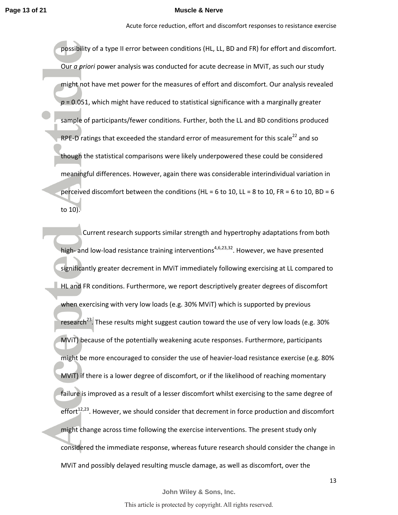Acute force reduction, effort and discomfort responses to resistance exercise

possibility of a type II error between conditions (HL, LL, BD and FR) for effort and discomfort. Our *a priori* power analysis was conducted for acute decrease in MViT, as such our study might not have met power for the measures of effort and discomfort. Our analysis revealed  $p = 0.051$ , which might have reduced to statistical significance with a marginally greater sample of participants/fewer conditions. Further, both the LL and BD conditions produced RPE-D ratings that exceeded the standard error of measurement for this scale<sup>22</sup> and so though the statistical comparisons were likely underpowered these could be considered meaningful differences. However, again there was considerable interindividual variation in perceived discomfort between the conditions (HL = 6 to 10, LL = 8 to 10, FR = 6 to 10, BD = 6 to 10).

Current research supports similar strength and hypertrophy adaptations from both high- and low-load resistance training interventions<sup>4,6,23,32</sup>. However, we have presented significantly greater decrement in MViT immediately following exercising at LL compared to HL and FR conditions. Furthermore, we report descriptively greater degrees of discomfort when exercising with very low loads (e.g. 30% MViT) which is supported by previous research<sup>23</sup>. These results might suggest caution toward the use of very low loads (e.g. 30% MViT) because of the potentially weakening acute responses. Furthermore, participants might be more encouraged to consider the use of heavier-load resistance exercise (e.g. 80% MViT) if there is a lower degree of discomfort, or if the likelihood of reaching momentary failure is improved as a result of a lesser discomfort whilst exercising to the same degree of effort $12,23$ . However, we should consider that decrement in force production and discomfort might change across time following the exercise interventions. The present study only considered the immediate response, whereas future research should consider the change in MViT and possibly delayed resulting muscle damage, as well as discomfort, over the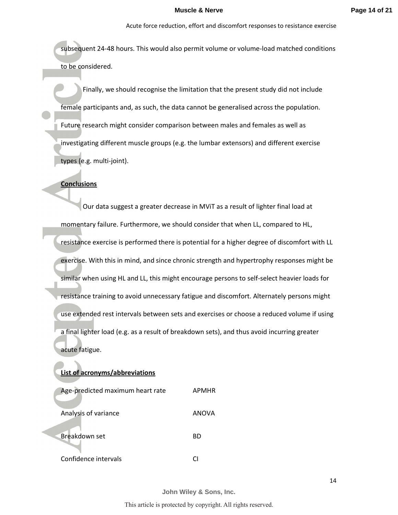subsequent 24-48 hours. This would also permit volume or volume-load matched conditions to be considered.

Finally, we should recognise the limitation that the present study did not include female participants and, as such, the data cannot be generalised across the population. Future research might consider comparison between males and females as well as investigating different muscle groups (e.g. the lumbar extensors) and different exercise types (e.g. multi-joint).

### **Conclusions**

Our data suggest a greater decrease in MViT as a result of lighter final load at momentary failure. Furthermore, we should consider that when LL, compared to HL, resistance exercise is performed there is potential for a higher degree of discomfort with LL exercise. With this in mind, and since chronic strength and hypertrophy responses might be similar when using HL and LL, this might encourage persons to self-select heavier loads for resistance training to avoid unnecessary fatigue and discomfort. Alternately persons might use extended rest intervals between sets and exercises or choose a reduced volume if using a final lighter load (e.g. as a result of breakdown sets), and thus avoid incurring greater acute fatigue.

## **List of acronyms/abbreviations**

| Age-predicted maximum heart rate | APMHR |
|----------------------------------|-------|
| Analysis of variance             | ANOVA |
| Breakdown set                    | ВD    |
| Confidence intervals             |       |

**John Wiley & Sons, Inc.**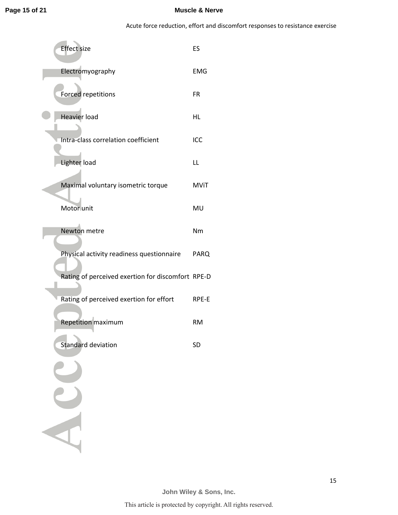Acute force reduction, effort and discomfort responses to resistance exercise

| <b>Effect size</b>                                | ES          |
|---------------------------------------------------|-------------|
| Electromyography                                  | <b>EMG</b>  |
| <b>Forced repetitions</b>                         | FR          |
| Heavier load                                      | <b>HL</b>   |
| Intra-class correlation coefficient               | ICC         |
| Lighter load                                      | LL          |
| Maximal voluntary isometric torque                | <b>MViT</b> |
| Motor unit                                        | MU          |
| Newton metre                                      | Nm          |
| Physical activity readiness questionnaire         | PARQ        |
| Rating of perceived exertion for discomfort RPE-D |             |
| Rating of perceived exertion for effort           | RPE-E       |
| <b>Repetition maximum</b>                         | <b>RM</b>   |
| <b>Standard deviation</b>                         | <b>SD</b>   |
|                                                   |             |
|                                                   |             |
|                                                   |             |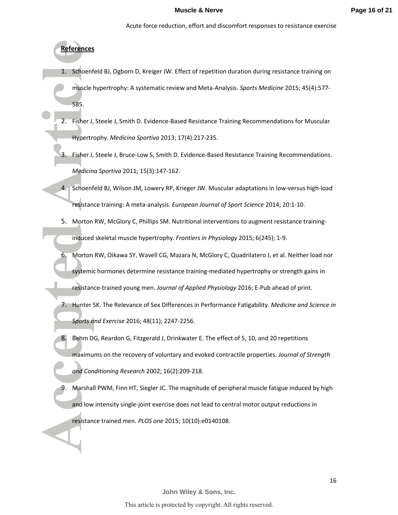# **References**

- 1. Schoenfeld BJ, Ogborn D, Kreiger JW. Effect of repetition duration during resistance training on muscle hypertrophy: A systematic review and Meta-Analysis. *Sports Medicine* 2015; 45(4):577- 585.
- Fisher J, Steele J, Smith D. Evidence-Based Resistance Training Recommendations for Muscular Hypertrophy. *Medicina Sportiva* 2013; 17(4):217-235.
- 3. Fisher J, Steele J, Bruce-Low S, Smith D. Evidence-Based Resistance Training Recommendations. *Medicina Sportiva* 2011; 15(3):147-162.
- 4. Schoenfeld BJ, Wilson JM, Lowery RP, Krieger JW. Muscular adaptations in low-versus high-load resistance training: A meta-analysis. *European Journal of Sport Science* 2014; 20:1-10.
- 5. Morton RW, McGlory C, Phillips SM. Nutritional interventions to augment resistance traininginduced skeletal muscle hypertrophy. *Frontiers in Physiology* 2015; 6(245); 1-9.
- 6. Morton RW, Oikawa SY, Wavell CG, Mazara N, McGlory C, Quadrilatero J, et al. Neither load nor systemic hormones determine resistance training-mediated hypertrophy or strength gains in resistance-trained young men. *Journal of Applied Physiology* 2016; E-Pub ahead of print.
- 7. Hunter SK. The Relevance of Sex Differences in Performance Fatigability. *Medicine and Science in Sports and Exercise* 2016; 48(11); 2247-2256.
- 8. Behm DG, Reardon G, Fitzgerald J, Drinkwater E. The effect of 5, 10, and 20 repetitions maximums on the recovery of voluntary and evoked contractile properties. *Journal of Strength and Conditioning Research* 2002; 16(2):209-218.
- 9. Marshall PWM, Finn HT, Siegler JC. The magnitude of peripheral muscle fatigue induced by high and low intensity single-joint exercise does not lead to central motor output reductions in resistance trained men. *PLOS one* 2015; 10(10):e0140108.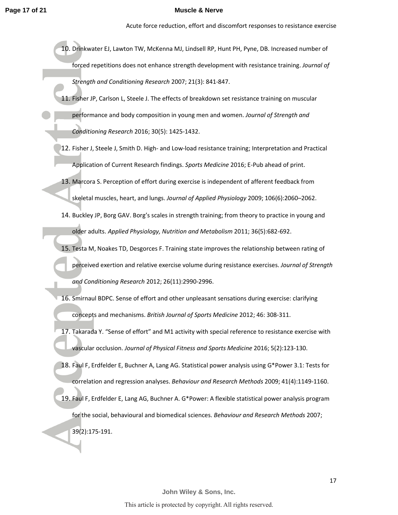Acute force reduction, effort and discomfort responses to resistance exercise

- 10. Drinkwater EJ, Lawton TW, McKenna MJ, Lindsell RP, Hunt PH, Pyne, DB. Increased number of forced repetitions does not enhance strength development with resistance training. *Journal of Strength and Conditioning Research* 2007; 21(3): 841-847.
- 11. Fisher JP, Carlson L, Steele J. The effects of breakdown set resistance training on muscular performance and body composition in young men and women. *Journal of Strength and Conditioning Research* 2016; 30(5): 1425-1432.
- 12. Fisher J, Steele J, Smith D. High- and Low-load resistance training; Interpretation and Practical Application of Current Research findings. *Sports Medicine* 2016; E-Pub ahead of print.
- 13. Marcora S. Perception of effort during exercise is independent of afferent feedback from skeletal muscles, heart, and lungs. *Journal of Applied Physiology* 2009; 106(6):2060–2062.
- 14. Buckley JP, Borg GAV. Borg's scales in strength training; from theory to practice in young and older adults. *Applied Physiology, Nutrition and Metabolism* 2011; 36(5):682-692.
- 15. Testa M, Noakes TD, Desgorces F. Training state improves the relationship between rating of perceived exertion and relative exercise volume during resistance exercises. *Journal of Strength and Conditioning Research* 2012; 26(11):2990-2996.
- 16. Smirnaul BDPC. Sense of effort and other unpleasant sensations during exercise: clarifying concepts and mechanisms. *British Journal of Sports Medicine* 2012; 46: 308-311.
- 17. Takarada Y. "Sense of effort" and M1 activity with special reference to resistance exercise with vascular occlusion. *Journal of Physical Fitness and Sports Medicine* 2016; 5(2):123-130.
- 18. Faul F, Erdfelder E, Buchner A, Lang AG. Statistical power analysis using G\*Power 3.1: Tests for correlation and regression analyses. *Behaviour and Research Methods* 2009; 41(4):1149-1160.
- 19. Faul F, Erdfelder E, Lang AG, Buchner A. G\*Power: A flexible statistical power analysis program for the social, behavioural and biomedical sciences. *Behaviour and Research Methods* 2007; 39(2):175-191.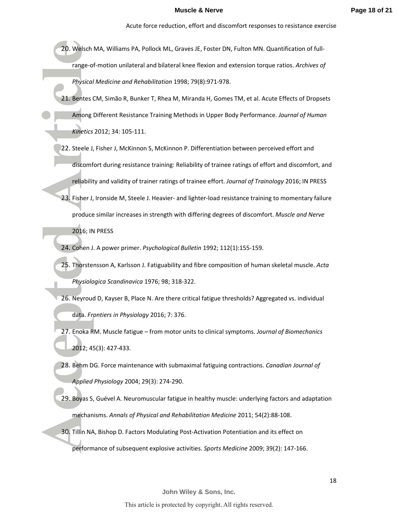- 20. Welsch MA, Williams PA, Pollock ML, Graves JE, Foster DN, Fulton MN. Quantification of fullrange-of-motion unilateral and bilateral knee flexion and extension torque ratios. *Archives of Physical Medicine and Rehabilitation* 1998; 79(8):971-978.
- 21. Bentes CM, Simão R, Bunker T, Rhea M, Miranda H, Gomes TM, et al. Acute Effects of Dropsets Among Different Resistance Training Methods in Upper Body Performance. *Journal of Human Kinetics* 2012; 34: 105-111.
- 22. Steele J, Fisher J, McKinnon S, McKinnon P. Differentiation between perceived effort and discomfort during resistance training: Reliability of trainee ratings of effort and discomfort, and reliability and validity of trainer ratings of trainee effort. *Journal of Trainology* 2016; IN PRESS
- 23. Fisher J, Ironside M, Steele J. Heavier- and lighter-load resistance training to momentary failure produce similar increases in strength with differing degrees of discomfort. *Muscle and Nerve* 2016; IN PRESS
- 24. Cohen J. A power primer. *Psychological Bulletin* 1992; 112(1):155-159.
- 25. Thorstensson A, Karlsson J. Fatiguability and fibre composition of human skeletal muscle. *Acta Physiologica Scandinavica* 1976; 98; 318-322.
- 26. Neyroud D, Kayser B, Place N. Are there critical fatigue thresholds? Aggregated vs. individual data. *Frontiers in Physiology* 2016; 7: 376.
- 27. Enoka RM. Muscle fatigue from motor units to clinical symptoms. *Journal of Biomechanics* 2012; 45(3): 427-433.
- 28. Behm DG. Force maintenance with submaximal fatiguing contractions. *Canadian Journal of Applied Physiology* 2004; 29(3): 274-290.
- 29. Boyas S, Guével A. Neuromuscular fatigue in healthy muscle: underlying factors and adaptation mechanisms. *Annals of Physical and Rehabilitation Medicine* 2011; 54(2):88-108.
- 30. Tillin NA, Bishop D. Factors Modulating Post-Activation Potentiation and its effect on performance of subsequent explosive activities. *Sports Medicine* 2009; 39(2): 147-166.

#### This article is protected by copyright. All rights reserved.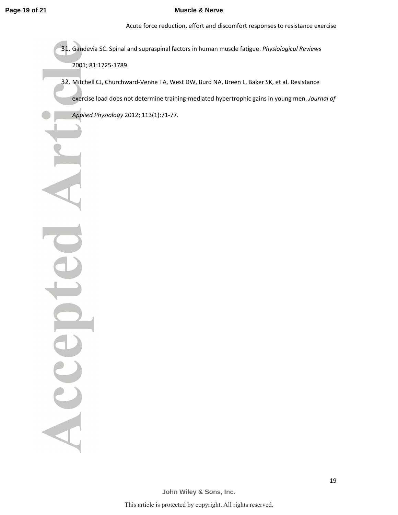Acute force reduction, effort and discomfort responses to resistance exercise

31. Gandevia SC. Spinal and supraspinal factors in human muscle fatigue. *Physiological Reviews* 2001; 81:1725-1789.

32. Mitchell CJ, Churchward-Venne TA, West DW, Burd NA, Breen L, Baker SK, et al. Resistance exercise load does not determine training-mediated hypertrophic gains in young men. *Journal of Applied Physiology* 2012; 113(1):71-77.

Accel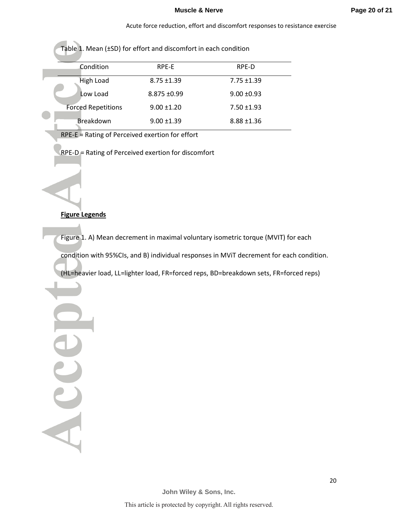| Table 1. Mean (±SD) for effort and discomfort in each condition |                           |                  |                 |  |
|-----------------------------------------------------------------|---------------------------|------------------|-----------------|--|
|                                                                 | Condition                 | RPE-E            | RPE-D           |  |
|                                                                 | High Load                 | $8.75 \pm 1.39$  | $7.75 \pm 1.39$ |  |
|                                                                 | Low Load                  | $8.875 \pm 0.99$ | $9.00 + 0.93$   |  |
|                                                                 | <b>Forced Repetitions</b> | $9.00 \pm 1.20$  | $7.50 \pm 1.93$ |  |
|                                                                 | <b>Breakdown</b>          | $9.00 \pm 1.39$  | $8.88 \pm 1.36$ |  |

RPE-E = Rating of Perceived exertion for effort

RPE-D = Rating of Perceived exertion for discomfort

## **Figure Legends**

Accel

Figure 1. A) Mean decrement in maximal voluntary isometric torque (MVIT) for each

condition with 95%CIs, and B) individual responses in MViT decrement for each condition.

(HL=heavier load, LL=lighter load, FR=forced reps, BD=breakdown sets, FR=forced reps)

**John Wiley & Sons, Inc.**